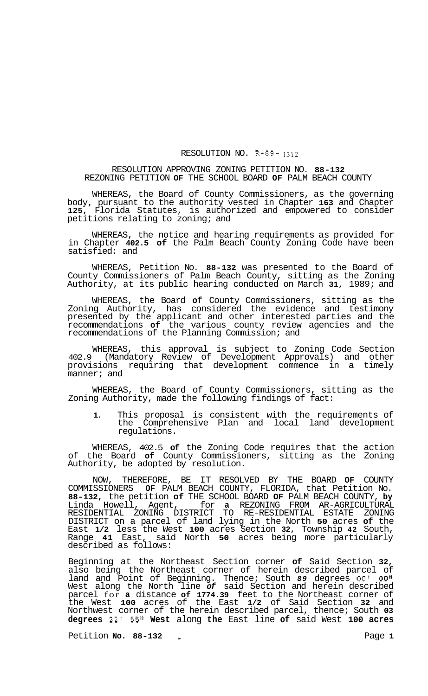## RESOLUTION NO. R-89- **1312**

## RESOLUTION APPROVING ZONING PETITION NO. **88-132**  REZONING PETITION **OF** THE SCHOOL BOARD **OF** PALM BEACH COUNTY

WHEREAS, the Board of County Commissioners, as the governing body, pursuant to the authority vested in Chapter **163** and Chapter **125,** Florida Statutes, is authorized and empowered to consider petitions relating to zoning; and

WHEREAS, the notice and hearing requirements as provided for in Chapter **402.5 of** the Palm Beach County Zoning Code have been satisfied: and

WHEREAS, Petition No. **88-132** was presented to the Board of County Commissioners of Palm Beach County, sitting as the Zoning Authority, at its public hearing conducted on March **31,** 1989; and

WHEREAS, the Board **of** County Commissioners, sitting as the Zoning Authority, has considered the evidence and testimony presented by the applicant and other interested parties and the recommendations **of** the various county review agencies and the recommendations of the Planning Commission; and

WHEREAS, this approval is subject to Zoning Code Section 402.9 (Mandatory Review of Development Approvals) and other provisions requiring that development commence in a timely manner; and

WHEREAS, the Board of County Commissioners, sitting as the Zoning Authority, made the following findings of fact:

**1.** This proposal is consistent with the requirements of the Comprehensive Plan and local land development regulations.

WHEREAS, 402.5 **of** the Zoning Code requires that the action of the Board **of** County Commissioners, sitting as the Zoning Authority, be adopted by resolution.

NOW, THEREFORE, BE IT RESOLVED BY THE BOARD **OF** COUNTY COMMISSIONERS **OF** PALM BEACH COUNTY, FLORIDA, that Petition No. **88-132,** the petition **of** THE SCHOOL BOARD **OF** PALM BEACH COUNTY, **by**  Linda Howell, Agent, for **a** REZONING FROM AR-AGRICULTURAL RESIDENTIAL ZONING DISTRICT TO RE-RESIDENTIAL ESTATE ZONING DISTRICT on a parcel of land lying in the North **50** acres **of** the East **1/2** less the West **100** acres Section **32,** Township **42** South, Range **41** East, said North **50** acres being more particularly described as follows:

Beginning at the Northeast Section corner **of** Said Section **32,**  also being the Northeast corner of herein described parcel of land and Point of Beginning. Thence; South *89* degrees *00'* **OO'I**  West along the North line *of* said Section and herein described parcel for **a** distance **of 1774.39** feet to the Northeast corner of the West **100** acres of the East **1/2** of Said Section **32** and Northwest corner of the herein described parcel, thence; South **03 degrees 22' 55" West** along **the** East line **of** said West **100 acres** 

Petition **No.** 88-132 **4 1 1 1 1 1 1 Page 1**